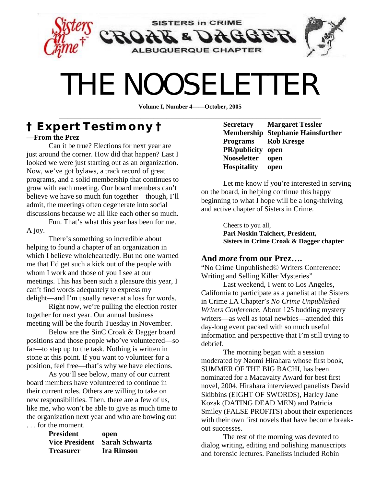

# THE NOOSELETTER

**Volume I, Number 4——October, 2005**  \_\_\_\_\_\_\_\_\_\_\_\_\_\_\_\_\_\_\_\_\_\_\_\_\_\_\_\_\_\_\_\_\_\_\_\_\_\_\_\_\_\_\_\_\_\_\_\_\_\_\_\_\_\_\_\_\_\_\_\_\_

## **† Expert Testimony † —From the Prez**

Can it be true? Elections for next year are just around the corner. How did that happen? Last I looked we were just starting out as an organization. Now, we've got bylaws, a track record of great programs, and a solid membership that continues to grow with each meeting. Our board members can't believe we have so much fun together—though, I'll admit, the meetings often degenerate into social discussions because we all like each other so much.

Fun. That's what this year has been for me. A joy.

There's something so incredible about helping to found a chapter of an organization in which I believe wholeheartedly. But no one warned me that I'd get such a kick out of the people with whom I work and those of you I see at our meetings. This has been such a pleasure this year, I can't find words adequately to express my delight—and I'm usually never at a loss for words.

Right now, we're pulling the election roster together for next year. Our annual business meeting will be the fourth Tuesday in November.

Below are the SinC Croak & Dagger board positions and those people who've volunteered—so far—to step up to the task. Nothing is written in stone at this point. If you want to volunteer for a position, feel free—that's why we have elections.

As you'll see below, many of our current board members have volunteered to continue in their current roles. Others are willing to take on new responsibilities. Then, there are a few of us, like me, who won't be able to give as much time to the organization next year and who are bowing out . . . for the moment.

| President | open                          |
|-----------|-------------------------------|
|           | Vice President Sarah Schwartz |
| Treasurer | <b>Ira Rimson</b>             |

**Secretary Margaret Tessler Membership Stephanie Hainsfurther Programs Rob Kresge PR/publicity open Nooseletter open Hospitality open** 

Let me know if you're interested in serving on the board, in helping continue this happy beginning to what I hope will be a long-thriving and active chapter of Sisters in Crime.

> Cheers to you all, **Pari Noskin Taichert, President, Sisters in Crime Croak & Dagger chapter**

#### **And** *more* **from our Prez….**

"No Crime Unpublished© Writers Conference: Writing and Selling Killer Mysteries"

Last weekend, I went to Los Angeles, California to participate as a panelist at the Sisters in Crime LA Chapter's *No Crime Unpublished Writers Conference*. About 125 budding mystery writers—as well as total newbies—attended this day-long event packed with so much useful information and perspective that I'm still trying to debrief.

The morning began with a session moderated by Naomi Hirahara whose first book, SUMMER OF THE BIG BACHI, has been nominated for a Macavaity Award for best first novel, 2004. Hirahara interviewed panelists David Skibbins (EIGHT OF SWORDS), Harley Jane Kozak (DATING DEAD MEN) and Patricia Smiley (FALSE PROFITS) about their experiences with their own first novels that have become breakout successes.

The rest of the morning was devoted to dialog writing, editing and polishing manuscripts and forensic lectures. Panelists included Robin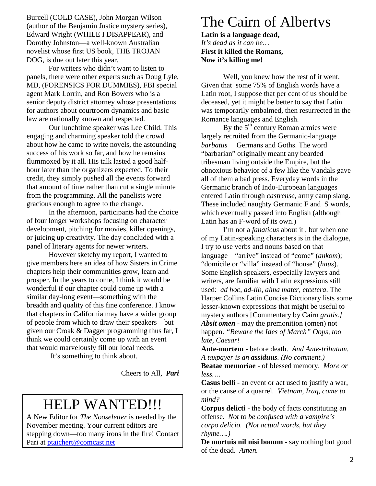Burcell (COLD CASE), John Morgan Wilson (author of the Benjamin Justice mystery series), Edward Wright (WHILE I DISAPPEAR), and Dorothy Johnston—a well-known Australian novelist whose first US book, THE TROJAN DOG, is due out later this year.

For writers who didn't want to listen to panels, there were other experts such as Doug Lyle, MD, (FORENSICS FOR DUMMIES), FBI special agent Mark Lorrin, and Ron Bowers who is a senior deputy district attorney whose presentations for authors about courtroom dynamics and basic law are nationally known and respected.

Our lunchtime speaker was Lee Child. This engaging and charming speaker told the crowd about how he came to write novels, the astounding success of his work so far, and how he remains flummoxed by it all. His talk lasted a good halfhour later than the organizers expected. To their credit, they simply pushed all the events forward that amount of time rather than cut a single minute from the programming. All the panelists were gracious enough to agree to the change.

In the afternoon, participants had the choice of four longer workshops focusing on character development, pitching for movies, killer openings, or juicing up creativity. The day concluded with a panel of literary agents for newer writers.

However sketchy my report, I wanted to give members here an idea of how Sisters in Crime chapters help their communities grow, learn and prosper. In the years to come, I think it would be wonderful if our chapter could come up with a similar day-long event—something with the breadth and quality of this fine conference. I know that chapters in California may have a wider group of people from which to draw their speakers—but given our Croak & Dagger programming thus far, I think we could certainly come up with an event that would marvelously fill our local needs.

It's something to think about.

Cheers to All,*Pari*

# HELP WANTED!!!

A New Editor for *The Nooseletter* is needed by the November meeting. Your current editors are stepping down—too many irons in the fire! Contact Pari at ptaichert@comcast.net

# The Cairn of Albertvs

**Latin is a language dead,**  *It's dead as it can be…*  **First it killed the Romans, Now it's killing me!** 

 Well, you knew how the rest of it went. Given that some 75% of English words have a Latin root, I suppose that per cent of us should be deceased, yet it might be better to say that Latin was temporarily embalmed, then resurrected in the Romance languages and English.

By the 5<sup>th</sup> century Roman armies were largely recruited from the Germanic-language *barbatus*— Germans and Goths. The word "barbarian" originally meant any bearded tribesman living outside the Empire, but the obnoxious behavior of a few like the Vandals gave all of them a bad press. Everyday words in the Germanic branch of Indo-European languages entered Latin through *castrense*, army camp slang. These included naughty Germanic F and S words, which eventually passed into English (although Latin has an F-word of its own.)

 I'm not a *fanaticus* about it , but when one of my Latin-speaking characters is in the dialogue, I try to use verbs and nouns based on that language—"arrive" instead of "come" (*ankom*); "domicile or "villa" instead of "house" (*haus*). Some English speakers, especially lawyers and writers, are familiar with Latin expressions still used: *ad hoc, ad-lib, alma mater, etcetera*. The Harper Collins Latin Concise Dictionary lists some lesser-known expressions that might be useful to mystery authors [Commentary by Cairn *gratis.] Absit omen* - may the premonition (omen) not happen. *"Beware the Ides of March" Oops, too late, Caesar!* 

**Ante-mortem** - before death. *And Ante-tributum. A taxpayer is an assiduus. (No comment.)*  **Beatae memoriae** - of blessed memory. *More or less….* 

**Casus belli** - an event or act used to justify a war, or the cause of a quarrel. *Vietnam, Iraq, come to mind?* 

**Corpus delicti** - the body of facts constituting an offense. *Not to be confused with a vampire's corpo delicio. (Not actual words, but they rhyme….)* 

**De mortuis nil nisi bonum** - say nothing but good of the dead. *Amen.*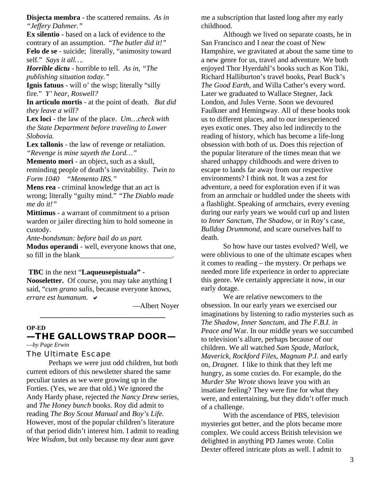**Disjecta membra** - the scattered remains. *As in "Jeffery Dahmer."* 

**Ex silentio** - based on a lack of evidence to the contrary of an assumption. "*The butler did it!"*  **Felo de se** - suicide; literally, "animosity toward self." *Says it all….* 

*Horrible dictu* - horrible to tell. *As in, "The publishing situation today."* 

**Ignis fatuus** - will o' the wisp; literally "silly fire." *Y' hear, Roswell?* 

**In articulo mortis** - at the point of death. *But did they leave a will?* 

**Lex loci** - the law of the place. *Um…check with the State Department before traveling to Lower Slobovia.* 

**Lex tallonis** - the law of revenge or retaliation. *"Revenge is mine sayeth the Lord…"* 

**Memento mori** - an object, such as a skull, reminding people of death's inevitability. *Twin to Form 1040"Memento IRS."* 

**Mens rea** - criminal knowledge that an act is wrong; literally "guilty mind." *"The Diablo made me do it!"* 

**Mittimus** - a warrant of commitment to a prison warden or jailer directing him to hold someone in custody.

*Ante-bondsman: before bail do us part.* 

**Modus operandi** - well, everyone knows that one, so fill in the blank

#### **TBC** in the next "**Laqueusepistuala" -**

**Nooseletter.** Of course, you may take anything I said, "*cum grano salis*, because everyone knows, *errare est humanum*.

—Albert Noyer

#### **OP-ED**

#### **—THE GALLOWS TRAP DOOR—**  —*by Page Erwin*

**\_\_\_\_\_\_\_\_\_\_\_\_\_\_\_\_\_\_\_\_\_\_\_\_\_\_\_\_\_\_\_\_\_\_** 

The Ultimate Escape

Perhaps we were just odd children, but both current editors of this newsletter shared the same peculiar tastes as we were growing up in the Forties. (Yes, we are that old.) We ignored the Andy Hardy phase, rejected *the Nancy Drew* series, and *The Honey bunch* books. Roy did admit to reading *The Boy Scout Manual* and *Boy's Life.*  However, most of the popular children's literature of that period didn't interest him. I admit to reading *Wee Wisdom,* but only because my dear aunt gave

me a subscription that lasted long after my early childhood.

Although we lived on separate coasts, he in San Francisco and I near the coast of New Hampshire, we gravitated at about the same time to a new genre for us, travel and adventure. We both enjoyed Thor Hyerdahl's books such as Kon Tiki, Richard Halliburton's travel books, Pearl Buck's *The Good Earth*, and Willa Cather's every word. Later we graduated to Wallace Stegner, Jack London, and Jules Verne. Soon we devoured Faulkner and Hemingway. All of these books took us to different places, and to our inexperienced eyes exotic ones. They also led indirectly to the reading of history, which has become a life-long obsession with both of us. Does this rejection of the popular literature of the times mean that we shared unhappy childhoods and were driven to escape to lands far away from our respective environments? I think not. It was a zest for adventure, a need for exploration even if it was from an armchair or huddled under the sheets with a flashlight. Speaking of armchairs, every evening during our early years we would curl up and listen to *Inner Sanctum, The Shadow,* or in Roy's case, *Bulldog Drummond,* and scare ourselves half to death.

So how have our tastes evolved? Well, we were oblivious to one of the ultimate escapes when it comes to reading – the mystery. Or perhaps we needed more life experience in order to appreciate this genre. We certainly appreciate it now, in our early dotage.

We are relative newcomers to the obsession. In our early years we exercised our imaginations by listening to radio mysteries such as *The Shadow, Inner Sanctum,* and *The F.B.I. in Peace and* War. In our middle years we succumbed to television's allure, perhaps because of our children. We all watched *Sam Spade, Matlock, Maverick, Rockford Files, Magnum P.I.* and early on, *Dragnet.* I like to think that they left me hungry, as some cozies do. For example, do the *Murder She Wrote* shows leave you with an insatiate feeling? They were fine for what they were, and entertaining, but they didn't offer much of a challenge.

With the ascendance of PBS, television mysteries got better, and the plots became more complex. We could access British television we delighted in anything PD James wrote. Colin Dexter offered intricate plots as well. I admit to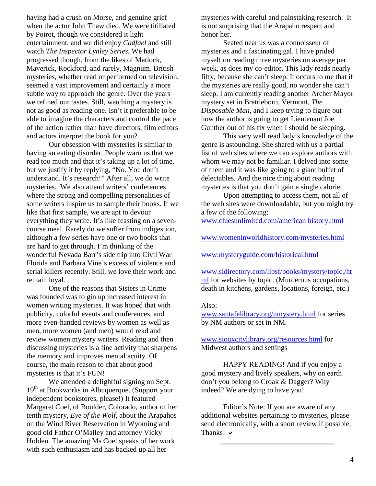having had a crush on Morse, and genuine grief when the actor John Thaw died. We were titillated by Poirot, though we considered it light entertainment, and we did enjoy *Cadfael* and still watch *The Inspector Lynley Series.* We had progressed though, from the likes of Matlock, Maverick, Rockford, and rarely, Magnum. British mysteries, whether read or performed on television, seemed a vast improvement and certainly a more subtle way to approach the genre. Over the years we refined our tastes. Still, watching a mystery is not as good as reading one. Isn't it preferable to be able to imagine the characters and control the pace of the action rather than have directors, film editors and actors interpret the book for you?

Our obsession with mysteries is similar to having an eating disorder. People warn us that we read too much and that it's taking up a lot of time, but we justify it by replying, "No. You don't understand. It's research!" After all, we do write mysteries. We also attend writers' conferences where the strong and compelling personalities of some writers inspire us to sample their books. If we like that first sample, we are apt to devour everything they write. It's like feasting on a sevencourse meal. Rarely do we suffer from indigestion, although a few series have one or two books that are hard to get through. I'm thinking of the wonderful Nevada Barr's side trip into Civil War Florida and Barbara Vine's excess of violence and serial killers recently. Still, we love their work and remain loyal.

One of the reasons that Sisters in Crime was founded was to gin up increased interest in women writing mysteries. It was hoped that with publicity, colorful events and conferences, and more even-handed reviews by women as well as men, more women (and men) would read and review women mystery writers. Reading and then discussing mysteries is a fine activity that sharpens the memory and improves mental acuity. Of course, the main reason to chat about good mysteries is that it's FUN!

We attended a delightful signing on Sept. 19<sup>th</sup> at Bookworks in Albuquerque. (Support your independent bookstores, please!) It featured Margaret Coel, of Boulder, Colorado, author of her tenth mystery, *Eye of the Wolf,* about the Arapahos on the Wind River Reservation in Wyoming and good old Father O'Malley and attorney Vicky Holden. The amazing Ms Coel speaks of her work with such enthusiasm and has backed up all her

mysteries with careful and painstaking research. It is not surprising that the Arapaho respect and honor her.

Seated near us was a connoisseur of mysteries and a fascinating gal. I have prided myself on reading three mysteries on average per week, as does my co-editor. This lady reads nearly fifty, because she can't sleep. It occurs to me that if the mysteries are really good, no wonder she can't sleep. I am currently reading another Archer Mayor mystery set in Brattleboro, Vermont, *The Disposable Man*, and I keep trying to figure out how the author is going to get Lieutenant Joe Gunther out of his fix when I should be sleeping.

 This very well read lady's knowledge of the genre is astounding. She shared with us a partial list of web sites where we can explore authors with whom we may not be familiar. I delved into some of them and it was like going to a giant buffet of delectables. And the nice thing about reading mysteries is that you don't gain a single calorie.

Upon attempting to access them, not all of the web sites were downloadable, but you might try a few of the following:

www.cluesunlimited.com/american history.html

[www.womeninworldhistory.com/mysteries.html](http://www.cluesunlimited.com/american history.html)

[www.mysteryguide.com/historical.html](http://www.womeninworldhistory.com/mysteries.html)

[www.sldirectory.com/libsf/books/mystery/topic./ht](http://www.sldirectory.com/libsf/books/mystery/topic./html) ml for websites by topic. (Murderous occupations, death in kitchens, gardens, locations, foreign, etc.)

#### Also:

www.santafelibrary.org/nmystery.html for series by NM authors or set in NM.

[www.siouxcitylibrary.org/resources.htm](http://www.santafelibrary.org/nmystery.html)l for Midwest authors and settings

[HAPPY READING! And if you e](http://www.siouxcitylibrary.org/resources.html)njoy a good mystery and lively speakers, why on earth don't you belong to Croak & Dagger? Why indeed? We are dying to have you!

Editor's Note: If you are aware of any additional websites pertaining to mysteries, please send electronically, with a short review if possible. Thanks!  $\vee$ 

**\_\_\_\_\_\_\_\_\_\_\_\_\_\_\_\_\_\_\_\_\_\_\_\_\_\_\_\_\_\_\_**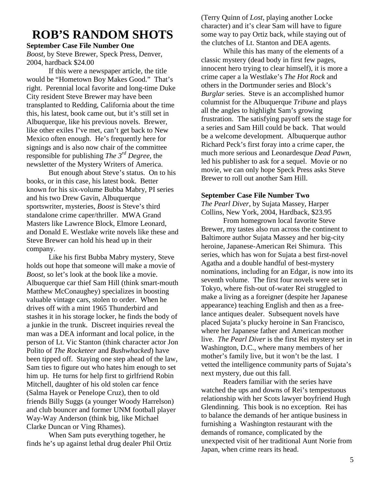## **ROB'S RANDOM SHOTS**

#### **September Case File Number One**

*Boost*, by Steve Brewer, Speck Press, Denver, 2004, hardback \$24.00

 If this were a newspaper article, the title would be "Hometown Boy Makes Good." That's right. Perennial local favorite and long-time Duke City resident Steve Brewer may have been transplanted to Redding, California about the time this, his latest, book came out, but it's still set in Albuquerque, like his previous novels. Brewer, like other exiles I've met, can't get back to New Mexico often enough. He's frequently here for signings and is also now chair of the committee responsible for publishing *The 3rd Degree*, the newsletter of the Mystery Writers of America.

 But enough about Steve's status. On to his books, or in this case, his latest book. Better known for his six-volume Bubba Mabry, PI series and his two Drew Gavin, Albuquerque sportswriter, mysteries, *Boost* is Steve's third standalone crime caper/thriller. MWA Grand Masters like Lawrence Block, Elmore Leonard, and Donald E. Westlake write novels like these and Steve Brewer can hold his head up in their company.

 Like his first Bubba Mabry mystery, Steve holds out hope that someone will make a movie of *Boost*, so let's look at the book like a movie. Albuquerque car thief Sam Hill (think smart-mouth Matthew McConaughey) specializes in boosting valuable vintage cars, stolen to order. When he drives off with a mint 1965 Thunderbird and stashes it in his storage locker, he finds the body of a junkie in the trunk. Discreet inquiries reveal the man was a DEA informant and local police, in the person of Lt. Vic Stanton (think character actor Jon Polito of *The Rocketeer* and *Bushwhacked*) have been tipped off. Staying one step ahead of the law, Sam ties to figure out who hates him enough to set him up. He turns for help first to girlfriend Robin Mitchell, daughter of his old stolen car fence (Salma Hayek or Penelope Cruz), then to old friends Billy Suggs (a younger Woody Harrelson) and club bouncer and former UNM football player Way-Way Anderson (think big, like Michael Clarke Duncan or Ving Rhames).

 When Sam puts everything together, he finds he's up against lethal drug dealer Phil Ortiz (Terry Quinn of *Lost*, playing another Locke character) and it's clear Sam will have to figure some way to pay Ortiz back, while staying out of the clutches of Lt. Stanton and DEA agents.

 While this has many of the elements of a classic mystery (dead body in first few pages, innocent hero trying to clear himself), it is more a crime caper a la Westlake's *The Hot Rock* and others in the Dortmunder series and Block's *Burglar* series. Steve is an accomplished humor columnist for the Albuquerque *Tribune* and plays all the angles to highlight Sam's growing frustration. The satisfying payoff sets the stage for a series and Sam Hill could be back. That would be a welcome development. Albuquerque author Richard Peck's first foray into a crime caper, the much more serious and Leonardesque *Dead Pawn,* led his publisher to ask for a sequel. Movie or no movie, we can only hope Speck Press asks Steve Brewer to roll out another Sam Hill.

#### **September Case File Number Two**

*The Pearl Diver*, by Sujata Massey, Harper Collins, New York, 2004, Hardback, \$23.95

 From homegrown local favorite Steve Brewer, my tastes also run across the continent to Baltimore author Sujata Massey and her big-city heroine, Japanese-American Rei Shimura. This series, which has won for Sujata a best first-novel Agatha and a double handful of best-mystery nominations, including for an Edgar, is now into its seventh volume. The first four novels were set in Tokyo, where fish-out of-water Rei struggled to make a living as a foreigner (despite her Japanese appearance) teaching English and then as a freelance antiques dealer. Subsequent novels have placed Sujata's plucky heroine in San Francisco, where her Japanese father and American mother live. *The Pearl Diver* is the first Rei mystery set in Washington, D.C., where many members of her mother's family live, but it won't be the last. I vetted the intelligence community parts of Sujata's next mystery, due out this fall.

 Readers familiar with the series have watched the ups and downs of Rei's tempestuous relationship with her Scots lawyer boyfriend Hugh Glendinning. This book is no exception. Rei has to balance the demands of her antique business in furnishing a Washington restaurant with the demands of romance, complicated by the unexpected visit of her traditional Aunt Norie from Japan, when crime rears its head.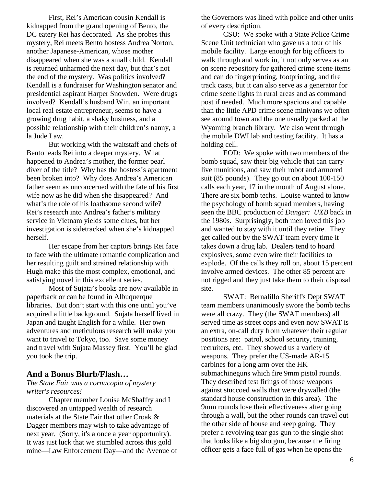First, Rei's American cousin Kendall is kidnapped from the grand opening of Bento, the DC eatery Rei has decorated. As she probes this mystery, Rei meets Bento hostess Andrea Norton, another Japanese-American, whose mother disappeared when she was a small child. Kendall is returned unharmed the next day, but that's not the end of the mystery. Was politics involved? Kendall is a fundraiser for Washington senator and presidential aspirant Harper Snowden. Were drugs involved? Kendall's husband Win, an important local real estate entrepreneur, seems to have a growing drug habit, a shaky business, and a possible relationship with their children's nanny, a la Jude Law.

 But working with the waitstaff and chefs of Bento leads Rei into a deeper mystery. What happened to Andrea's mother, the former pearl diver of the title? Why has the hostess's apartment been broken into? Why does Andrea's American father seem as unconcerned with the fate of his first wife now as he did when she disappeared? And what's the role of his loathsome second wife? Rei's research into Andrea's father's military service in Vietnam yields some clues, but her investigation is sidetracked when she's kidnapped herself.

 Her escape from her captors brings Rei face to face with the ultimate romantic complication and her resulting guilt and strained relationship with Hugh make this the most complex, emotional, and satisfying novel in this excellent series.

Most of Sujata's books are now available in paperback or can be found in Albuquerque libraries. But don't start with this one until you've acquired a little background. Sujata herself lived in Japan and taught English for a while. Her own adventures and meticulous research will make you want to travel to Tokyo, too. Save some money and travel with Sujata Massey first. You'll be glad you took the trip.

#### **And a Bonus Blurb/Flash…**

#### *The State Fair was a cornucopia of mystery writer's resources!*

 Chapter member Louise McShaffry and I discovered an untapped wealth of research materials at the State Fair that other Croak & Dagger members may wish to take advantage of next year. (Sorry, it's a once a year opportunity). It was just luck that we stumbled across this gold mine—Law Enforcement Day—and the Avenue of

the Governors was lined with police and other units of every description.

 CSU: We spoke with a State Police Crime Scene Unit technician who gave us a tour of his mobile facility. Large enough for big officers to walk through and work in, it not only serves as an on scene repository for gathered crime scene items and can do fingerprinting, footprinting, and tire track casts, but it can also serve as a generator for crime scene lights in rural areas and as command post if needed. Much more spacious and capable than the little APD crime scene minivans we often see around town and the one usually parked at the Wyoming branch library. We also went through the mobile DWI lab and testing facility. It has a holding cell.

 EOD: We spoke with two members of the bomb squad, saw their big vehicle that can carry live munitions, and saw their robot and armored suit (85 pounds). They go out on about 100-150 calls each year, 17 in the month of August alone. There are six bomb techs. Louise wanted to know the psychology of bomb squad members, having seen the BBC production of *Danger: UXB* back in the 1980s. Surprisingly, both men loved this job and wanted to stay with it until they retire. They get called out by the SWAT team every time it takes down a drug lab. Dealers tend to hoard explosives, some even wire their facilities to explode. Of the calls they roll on, about 15 percent involve armed devices. The other 85 percent are not rigged and they just take them to their disposal site.

 SWAT: Bernalillo Sheriff's Dept SWAT team members unanimously swore the bomb techs were all crazy. They (the SWAT members) all served time as street cops and even now SWAT is an extra, on-call duty from whatever their regular positions are: patrol, school security, training, recruiters, etc. They showed us a variety of weapons. They prefer the US-made AR-15 carbines for a long arm over the HK submachineguns which fire 9mm pistol rounds. They described test firings of those weapons against stuccoed walls that were drywalled (the standard house construction in this area). The 9mm rounds lose their effectiveness after going through a wall, but the other rounds can travel out the other side of house and keep going. They prefer a revolving tear gas gun to the single shot that looks like a big shotgun, because the firing officer gets a face full of gas when he opens the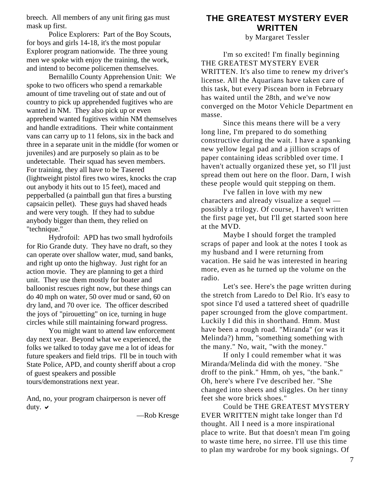breech. All members of any unit firing gas must mask up first.

 Police Explorers: Part of the Boy Scouts, for boys and girls 14-18, it's the most popular Explorer program nationwide. The three young men we spoke with enjoy the training, the work, and intend to become policemen themselves.

 Bernalillo County Apprehension Unit: We spoke to two officers who spend a remarkable amount of time traveling out of state and out of country to pick up apprehended fugitives who are wanted in NM. They also pick up or even apprehend wanted fugitives within NM themselves and handle extraditions. Their white containment vans can carry up to 11 felons, six in the back and three in a separate unit in the middle (for women or juveniles) and are purposely so plain as to be undetectable. Their squad has seven members. For training, they all have to be Tasered (lightweight pistol fires two wires, knocks the crap out anybody it hits out to 15 feet), maced and pepperballed (a paintball gun that fires a bursting capsaicin pellet). These guys had shaved heads and were very tough. If they had to subdue anybody bigger than them, they relied on "technique."

 Hydrofoil: APD has two small hydrofoils for Rio Grande duty. They have no draft, so they can operate over shallow water, mud, sand banks, and right up onto the highway. Just right for an action movie. They are planning to get a third unit. They use them mostly for boater and balloonist rescues right now, but these things can do 40 mph on water, 50 over mud or sand, 60 on dry land, and 70 over ice. The officer described the joys of "pirouetting" on ice, turning in huge circles while still maintaining forward progress.

 You might want to attend law enforcement day next year. Beyond what we experienced, the folks we talked to today gave me a lot of ideas for future speakers and field trips. I'll be in touch with State Police, APD, and county sheriff about a crop of guest speakers and possible tours/demonstrations next year.

And, no, your program chairperson is never off duty.  $\vee$ 

—Rob Kresge

## **THE GREATEST MYSTERY EVER WRITTEN**

by Margaret Tessler

I'm so excited! I'm finally beginning THE GREATEST MYSTERY EVER WRITTEN. It's also time to renew my driver's license. All the Aquarians have taken care of this task, but every Piscean born in February has waited until the 28th, and we've now converged on the Motor Vehicle Department en masse.

Since this means there will be a very long line, I'm prepared to do something constructive during the wait. I have a spanking new yellow legal pad and a jillion scraps of paper containing ideas scribbled over time. I haven't actually organized these yet, so I'll just spread them out here on the floor. Darn, I wish these people would quit stepping on them.

I've fallen in love with my new characters and already visualize a sequel possibly a trilogy. Of course, I haven't written the first page yet, but I'll get started soon here at the MVD.

Maybe I should forget the trampled scraps of paper and look at the notes I took as my husband and I were returning from vacation. He said he was interested in hearing more, even as he turned up the volume on the radio.

Let's see. Here's the page written during the stretch from Laredo to Del Rio. It's easy to spot since I'd used a tattered sheet of quadrille paper scrounged from the glove compartment. Luckily I did this in shorthand. Hmm. Must have been a rough road. "Miranda" (or was it Melinda?) hmm, "something something with the many." No, wait, "with the money."

If only I could remember what it was Miranda/Melinda did with the money. "She droff to the pink." Hmm, oh yes, "the bank." Oh, here's where I've described her. "She changed into sheets and sliggles. On her tinny feet she wore brick shoes."

Could be THE GREATEST MYSTERY EVER WRITTEN might take longer than I'd thought. All I need is a more inspirational place to write. But that doesn't mean I'm going to waste time here, no sirree. I'll use this time to plan my wardrobe for my book signings. Of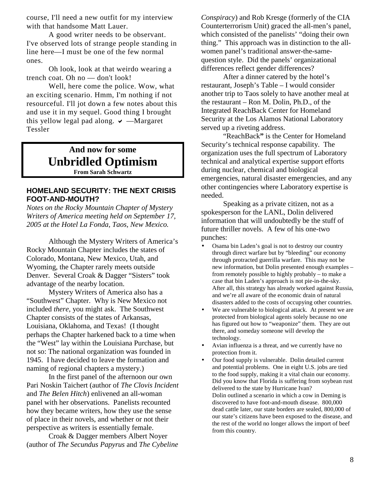course, I'll need a new outfit for my interview with that handsome Matt Lauer.

A good writer needs to be observant. I've observed lots of strange people standing in line here—I must be one of the few normal ones.

Oh look, look at that weirdo wearing a trench coat. Oh no — don't look!

Well, here come the police. Wow, what an exciting scenario. Hmm, I'm nothing if not resourceful. I'll jot down a few notes about this and use it in my sequel. Good thing I brought this yellow legal pad along.  $\vee$  —Margaret Tessler

> **And now for some Unbridled Optimism From Sarah Schwartz**

#### **HOMELAND SECURITY: THE NEXT CRISIS FOOT-AND-MOUTH?**

*Notes on the Rocky Mountain Chapter of Mystery Writers of America meeting held on September 17, 2005 at the Hotel La Fonda, Taos, New Mexico.* 

 Although the Mystery Writers of America's Rocky Mountain Chapter includes the states of Colorado, Montana, New Mexico, Utah, and Wyoming, the Chapter rarely meets outside Denver. Several Croak & Dagger "Sisters" took advantage of the nearby location.

 Mystery Writers of America also has a "Southwest" Chapter. Why is New Mexico not included *there*, you might ask. The Southwest Chapter consists of the states of Arkansas, Louisiana, Oklahoma, and Texas! (I thought perhaps the Chapter harkened back to a time when the "West" lay within the Louisiana Purchase, but not so: The national organization was founded in 1945. I have decided to leave the formation and naming of regional chapters a mystery.)

 In the first panel of the afternoon our own Pari Noskin Taichert (author of *The Clovis Incident* and *The Belen Hitch*) enlivened an all-woman panel with her observations. Panelists recounted how they became writers, how they use the sense of place in their novels, and whether or not their perspective as writers is essentially female.

 Croak & Dagger members Albert Noyer (author of *The Secundus Papyrus* and *The Cybeline*  *Conspiracy*) and Rob Kresge (formerly of the CIA Counterterrorism Unit) graced the all-men's panel, which consisted of the panelists' "doing their own thing." This approach was in distinction to the allwomen panel's traditional answer-the-samequestion style. Did the panels' organizational differences reflect gender differences?

 After a dinner catered by the hotel's restaurant, Joseph's Table – I would consider another trip to Taos solely to have another meal at the restaurant – Ron M. Dolin, Ph.D., of the Integrated ReachBack Center for Homeland Security at the Los Alamos National Laboratory served up a riveting address.

"ReachBack**"** is the Center for Homeland Security's technical response capability. The organization uses the full spectrum of Laboratory technical and analytical expertise support efforts during nuclear, chemical and biological emergencies, natural disaster emergencies, and any other contingencies where Laboratory expertise is needed.

 Speaking as a private citizen, not as a spokesperson for the LANL, Dolin delivered information that will undoubtedly be the stuff of future thriller novels. A few of his one-two punches:

- Osama bin Laden's goal is not to destroy our country through direct warfare but by "bleeding" our economy through protracted guerrilla warfare. This may not be new information, but Dolin presented enough examples – from remotely possible to highly probably – to make a case that bin Laden's approach is not pie-in-the-sky. After all, this strategy has already worked against Russia, and we're all aware of the economic drain of natural disasters added to the costs of occupying other countries.
- We are vulnerable to biological attack. At present we are protected from biological agents solely because no one has figured out how to "weaponize" them. They are out there, and someday someone will develop the technology.
- Avian influenza is a threat, and we currently have no protection from it.
- Our food supply is vulnerable. Dolin detailed current and potential problems. One in eight U.S. jobs are tied to the food supply, making it a vital chain our economy. Did you know that Florida is suffering from soybean rust delivered to the state by Hurricane Ivan? Dolin outlined a scenario in which a cow in Deming is discovered to have foot-and-mouth disease. 800,000 dead cattle later, our state borders are sealed, 800,000 of our state's citizens have been exposed to the disease, and the rest of the world no longer allows the import of beef from this country.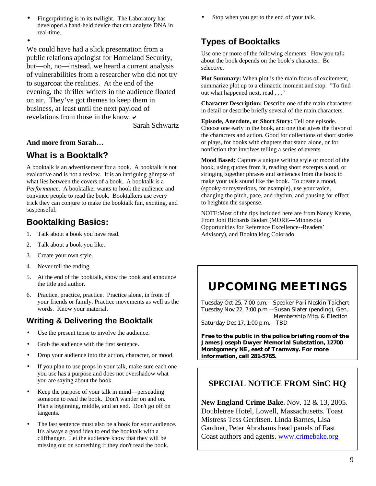• Fingerprinting is in its twilight. The Laboratory has developed a hand-held device that can analyze DNA in real-time.

•

We could have had a slick presentation from a public relations apologist for Homeland Security, but—oh, no—instead, we heard a current analysis of vulnerabilities from a researcher who did not try to sugarcoat the realities. At the end of the evening, the thriller writers in the audience floated on air. They've got themes to keep them in business, at least until the next payload of revelations from those in the know.  $\vee$ 

Sarah Schwartz

### **And more from Sarah…**

## **What is a Booktalk?**

A booktalk is an advertisement for a book. A booktalk is not evaluative and is not a review. It is an intriguing glimpse of what lies between the covers of a book. A booktalk is a *Performance*. A booktalker wants to hook the audience and convince people to read the book. Booktalkers use every trick they can conjure to make the booktalk fun, exciting, and suspenseful.

## **Booktalking Basics:**

- 1. Talk about a book you have read.
- 2. Talk about a book you like.
- 3. Create your own style.
- 4. Never tell the ending.
- 5. At the end of the booktalk, show the book and announce the title and author.
- 6. Practice, practice, practice.Practice alone, in front of your friends or family. Practice movements as well as the words. Know your material.

## **Writing & Delivering the Booktalk**

- Use the present tense to involve the audience.
- Grab the audience with the first sentence.
- Drop your audience into the action, character, or mood.
- If you plan to use props in your talk, make sure each one you use has a purpose and does not overshadow what you are saying about the book.
- Keep the purpose of your talk in mind—persuading someone to read the book. Don't wander on and on. Plan a beginning, middle, and an end. Don't go off on tangents.
- The last sentence must also be a hook for your audience. It's always a good idea to end the booktalk with a cliffhanger. Let the audience know that they will be missing out on something if they don't read the book.

Stop when you get to the end of your talk.

## **Types of Booktalks**

Use one or more of the following elements. How you talk about the book depends on the book's character. Be selective.

**Plot Summary:** When plot is the main focus of excitement, summarize plot up to a climactic moment and stop. "To find out what happened next, read . . ."

**Character Description:** Describe one of the main characters in detail or describe briefly several of the main characters.

**Episode, Anecdote, or Short Story:** Tell one episode. Choose one early in the book, and one that gives the flavor of the characters and action. Good for collections of short stories or plays, for books with chapters that stand alone, or for nonfiction that involves telling a series of events.

**Mood Based:** Capture a unique writing style or mood of the book, using quotes from it, reading short excerpts aloud, or stringing together phrases and sentences from the book to make your talk sound like the book. To create a mood, (spooky or mysterious, for example), use your voice, changing the pitch, pace, and rhythm, and pausing for effect to heighten the suspense.

NOTE:Most of the tips included here are from Nancy Keane, From Joni Richards Bodart (MORE—Minnesota Opportunities for Reference Excellence--Readers' Advisory), and Booktalking Colorado

## **UPCOMING MEETINGS**  \_\_\_\_\_\_\_\_\_\_\_\_\_\_\_\_\_\_\_\_\_\_\_\_\_\_\_\_\_\_\_\_\_\_\_\_\_\_\_\_\_\_\_\_\_\_\_

Tuesday Oct 25, 7:00 p.m.—Speaker Pari Noskin Taichert Tuesday Nov 22, 7:00 p.m.—Susan Slater (pending), Gen. Membership Mtg. & Election Saturday Dec 17, 1:00 p.m.—TBD

**Free to the public in the police briefing room of the James Joseph Dwyer Memorial Substation, 12700 Montgomery NE, east of Tramway. For more information, call 281-5765.** 

## **SPECIAL NOTICE FROM SinC HQ**

**New England Crime Bake.** Nov. 12 & 13, 2005. Doubletree Hotel, Lowell, Massachusetts. Toast Mistress Tess Gerritsen. Linda Barnes, Lisa Gardner, Peter Abrahams head panels of East Coast authors and agents. www.crimebake.org